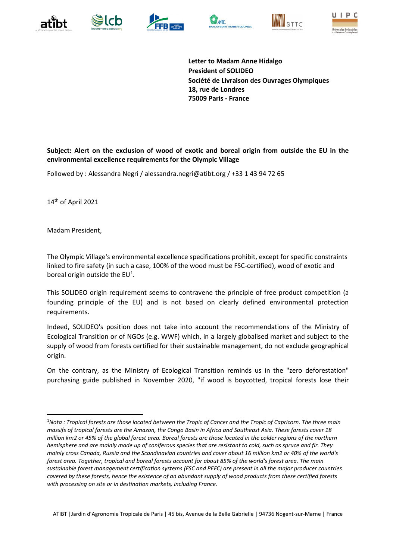











**Letter to Madam Anne Hidalgo President of SOLIDEO Société de Livraison des Ouvrages Olympiques 18, rue de Londres 75009 Paris - France**

**Subject: Alert on the exclusion of wood of exotic and boreal origin from outside the EU in the environmental excellence requirements for the Olympic Village**

Followed by : Alessandra Negri / alessandra.negri@atibt.org / +33 1 43 94 72 65

14th of April 2021

Madam President,

The Olympic Village's environmental excellence specifications prohibit, except for specific constraints linked to fire safety (in such a case, 100% of the wood must be FSC-certified), wood of exotic and boreal origin outside the  $EU<sup>1</sup>$  $EU<sup>1</sup>$  $EU<sup>1</sup>$ .

This SOLIDEO origin requirement seems to contravene the principle of free product competition (a founding principle of the EU) and is not based on clearly defined environmental protection requirements.

Indeed, SOLIDEO's position does not take into account the recommendations of the Ministry of Ecological Transition or of NGOs (e.g. WWF) which, in a largely globalised market and subject to the supply of wood from forests certified for their sustainable management, do not exclude geographical origin.

On the contrary, as the Ministry of Ecological Transition reminds us in the "zero deforestation" purchasing guide published in November 2020, "if wood is boycotted, tropical forests lose their

ATIBT |Jardin d'Agronomie Tropicale de Paris | 45 bis, Avenue de la Belle Gabrielle | 94736 Nogent-sur-Marne | France

<span id="page-0-0"></span><sup>&</sup>lt;sup>1</sup>Nota : Tropical forests are those located between the Tropic of Cancer and the Tropic of Capricorn. The three main *massifs of tropical forests are the Amazon, the Congo Basin in Africa and Southeast Asia. These forests cover 18 million km2 or 45% of the global forest area. Boreal forests are those located in the colder regions of the northern hemisphere and are mainly made up of coniferous species that are resistant to cold, such as spruce and fir. They mainly cross Canada, Russia and the Scandinavian countries and cover about 16 million km2 or 40% of the world's forest area. Together, tropical and boreal forests account for about 85% of the world's forest area. The main sustainable forest management certification systems (FSC and PEFC) are present in all the major producer countries covered by these forests, hence the existence of an abundant supply of wood products from these certified forests with processing on site or in destination markets, including France.*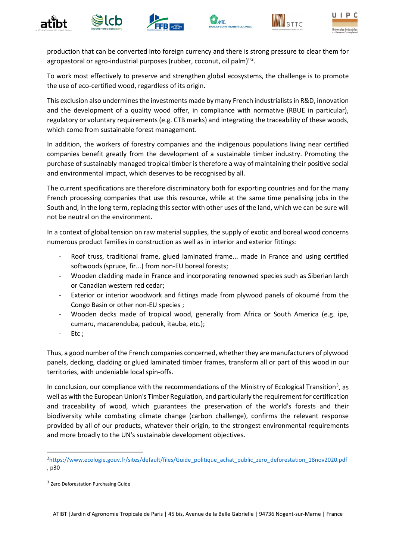











production that can be converted into foreign currency and there is strong pressure to clear them for agropastoral or agro-industrial purposes (rubber, coconut, oil palm)"<sup>[2](#page-1-0)</sup>.

To work most effectively to preserve and strengthen global ecosystems, the challenge is to promote the use of eco-certified wood, regardless of its origin.

This exclusion also undermines the investments made by many French industrialists in R&D, innovation and the development of a quality wood offer, in compliance with normative (RBUE in particular), regulatory or voluntary requirements (e.g. CTB marks) and integrating the traceability of these woods, which come from sustainable forest management.

In addition, the workers of forestry companies and the indigenous populations living near certified companies benefit greatly from the development of a sustainable timber industry. Promoting the purchase of sustainably managed tropical timber is therefore a way of maintaining their positive social and environmental impact, which deserves to be recognised by all.

The current specifications are therefore discriminatory both for exporting countries and for the many French processing companies that use this resource, while at the same time penalising jobs in the South and, in the long term, replacing this sector with other uses of the land, which we can be sure will not be neutral on the environment.

In a context of global tension on raw material supplies, the supply of exotic and boreal wood concerns numerous product families in construction as well as in interior and exterior fittings:

- Roof truss, traditional frame, glued laminated frame... made in France and using certified softwoods (spruce, fir...) from non-EU boreal forests;
- Wooden cladding made in France and incorporating renowned species such as Siberian larch or Canadian western red cedar;
- Exterior or interior woodwork and fittings made from plywood panels of okoumé from the Congo Basin or other non-EU species ;
- Wooden decks made of tropical wood, generally from Africa or South America (e.g. ipe, cumaru, macarenduba, padouk, itauba, etc.);
- Etc ;

Thus, a good number of the French companies concerned, whether they are manufacturers of plywood panels, decking, cladding or glued laminated timber frames, transform all or part of this wood in our territories, with undeniable local spin-offs.

In conclusion, our compliance with the recommendations of the Ministry of Ecological Transition<sup>[3](#page-1-1)</sup>, as well as with the European Union's Timber Regulation, and particularly the requirement for certification and traceability of wood, which guarantees the preservation of the world's forests and their biodiversity while combating climate change (carbon challenge), confirms the relevant response provided by all of our products, whatever their origin, to the strongest environmental requirements and more broadly to the UN's sustainable development objectives.

<span id="page-1-0"></span><sup>&</sup>lt;sup>2</sup>[https://www.ecologie.gouv.fr/sites/default/files/Guide\\_politique\\_achat\\_public\\_zero\\_deforestation\\_18nov2020.pdf](https://www.ecologie.gouv.fr/sites/default/files/Guide_politique_achat_public_zero_deforestation_18nov2020.pdf) , p30

<span id="page-1-1"></span><sup>&</sup>lt;sup>3</sup> Zero Deforestation Purchasing Guide